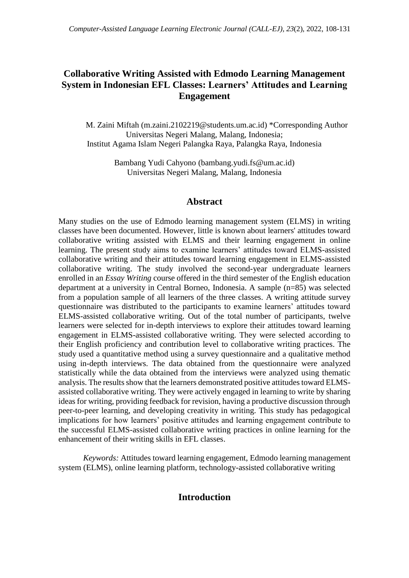# **Collaborative Writing Assisted with Edmodo Learning Management System in Indonesian EFL Classes: Learners' Attitudes and Learning Engagement**

M. Zaini Miftah (m.zaini.2102219@students.um.ac.id) \*Corresponding Author Universitas Negeri Malang, Malang, Indonesia; Institut Agama Islam Negeri Palangka Raya, Palangka Raya, Indonesia

> Bambang Yudi Cahyono [\(bambang.yudi.fs@um.ac.id\)](mailto:bambang.yudi.fs@um.ac.id) Universitas Negeri Malang, Malang, Indonesia

# **Abstract**

Many studies on the use of Edmodo learning management system (ELMS) in writing classes have been documented. However, little is known about learners' attitudes toward collaborative writing assisted with ELMS and their learning engagement in online learning. The present study aims to examine learners' attitudes toward ELMS-assisted collaborative writing and their attitudes toward learning engagement in ELMS-assisted collaborative writing. The study involved the second-year undergraduate learners enrolled in an *Essay Writing* course offered in the third semester of the English education department at a university in Central Borneo, Indonesia. A sample (n=85) was selected from a population sample of all learners of the three classes. A writing attitude survey questionnaire was distributed to the participants to examine learners' attitudes toward ELMS-assisted collaborative writing. Out of the total number of participants, twelve learners were selected for in-depth interviews to explore their attitudes toward learning engagement in ELMS-assisted collaborative writing. They were selected according to their English proficiency and contribution level to collaborative writing practices. The study used a quantitative method using a survey questionnaire and a qualitative method using in-depth interviews. The data obtained from the questionnaire were analyzed statistically while the data obtained from the interviews were analyzed using thematic analysis. The results show that the learners demonstrated positive attitudes toward ELMSassisted collaborative writing. They were actively engaged in learning to write by sharing ideas for writing, providing feedback for revision, having a productive discussion through peer-to-peer learning, and developing creativity in writing. This study has pedagogical implications for how learners' positive attitudes and learning engagement contribute to the successful ELMS-assisted collaborative writing practices in online learning for the enhancement of their writing skills in EFL classes.

*Keywords:* Attitudes toward learning engagement, Edmodo learning management system (ELMS), online learning platform, technology-assisted collaborative writing

# **Introduction**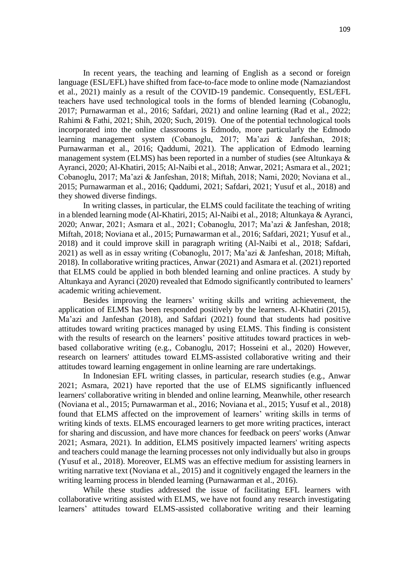In recent years, the teaching and learning of English as a second or foreign language (ESL/EFL) have shifted from face-to-face mode to online mode (Namaziandost et al., 2021) mainly as a result of the COVID-19 pandemic. Consequently, ESL/EFL teachers have used technological tools in the forms of blended learning (Cobanoglu, 2017; Purnawarman et al., 2016; Safdari, 2021) and online learning (Rad et al., 2022; Rahimi & Fathi, 2021; Shih, 2020; Such, 2019). One of the potential technological tools incorporated into the online classrooms is Edmodo, more particularly the Edmodo learning management system (Cobanoglu, 2017; Ma'azi & Janfeshan, 2018; Purnawarman et al., 2016; Qaddumi, 2021). The application of Edmodo learning management system (ELMS) has been reported in a number of studies (see Altunkaya & Ayranci, 2020; Al-Khatiri, 2015; Al-Naibi et al., 2018; Anwar, 2021; Asmara et al., 2021; Cobanoglu, 2017; Ma'azi & Janfeshan, 2018; Miftah, 2018; Nami, 2020; Noviana et al., 2015; Purnawarman et al., 2016; Qaddumi, 2021; Safdari, 2021; Yusuf et al., 2018) and they showed diverse findings.

In writing classes, in particular, the ELMS could facilitate the teaching of writing in a blended learning mode (Al-Khatiri, 2015; Al-Naibi et al., 2018; Altunkaya & Ayranci, 2020; Anwar, 2021; Asmara et al., 2021; Cobanoglu, 2017; Ma'azi & Janfeshan, 2018; Miftah, 2018; Noviana et al., 2015; Purnawarman et al., 2016; Safdari, 2021; Yusuf et al., 2018) and it could improve skill in paragraph writing (Al-Naibi et al., 2018; Safdari, 2021) as well as in essay writing (Cobanoglu, 2017; Ma'azi & Janfeshan, 2018; Miftah, 2018). In collaborative writing practices, Anwar (2021) and Asmara et al. (2021) reported that ELMS could be applied in both blended learning and online practices. A study by Altunkaya and Ayranci (2020) revealed that Edmodo significantly contributed to learners' academic writing achievement.

Besides improving the learners' writing skills and writing achievement, the application of ELMS has been responded positively by the learners. Al-Khatiri (2015), Ma'azi and Janfeshan (2018), and Safdari (2021) found that students had positive attitudes toward writing practices managed by using ELMS. This finding is consistent with the results of research on the learners' positive attitudes toward practices in webbased collaborative writing (e.g., Cobanoglu, 2017; Hosseini et al., 2020) However, research on learners' attitudes toward ELMS-assisted collaborative writing and their attitudes toward learning engagement in online learning are rare undertakings.

In Indonesian EFL writing classes, in particular, research studies (e.g., Anwar 2021; Asmara, 2021) have reported that the use of ELMS significantly influenced learners' collaborative writing in blended and online learning, Meanwhile, other research (Noviana et al., 2015; Purnawarman et al., 2016; Noviana et al., 2015; Yusuf et al., 2018) found that ELMS affected on the improvement of learners' writing skills in terms of writing kinds of texts. ELMS encouraged learners to get more writing practices, interact for sharing and discussion, and have more chances for feedback on peers' works (Anwar 2021; Asmara, 2021). In addition, ELMS positively impacted learners' writing aspects and teachers could manage the learning processes not only individually but also in groups (Yusuf et al., 2018). Moreover, ELMS was an effective medium for assisting learners in writing narrative text (Noviana et al., 2015) and it cognitively engaged the learners in the writing learning process in blended learning (Purnawarman et al., 2016).

While these studies addressed the issue of facilitating EFL learners with collaborative writing assisted with ELMS, we have not found any research investigating learners' attitudes toward ELMS-assisted collaborative writing and their learning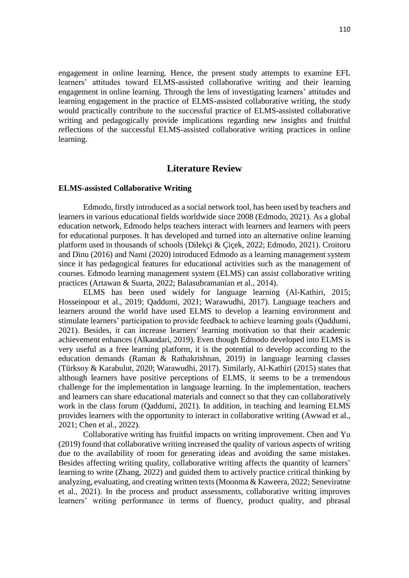engagement in online learning. Hence, the present study attempts to examine EFL learners' attitudes toward ELMS-assisted collaborative writing and their learning engagement in online learning. Through the lens of investigating learners' attitudes and learning engagement in the practice of ELMS-assisted collaborative writing, the study would practically contribute to the successful practice of ELMS-assisted collaborative writing and pedagogically provide implications regarding new insights and fruitful reflections of the successful ELMS-assisted collaborative writing practices in online learning.

## **Literature Review**

#### **ELMS-assisted Collaborative Writing**

Edmodo, firstly introduced as a social network tool, has been used by teachers and learners in various educational fields worldwide since 2008 (Edmodo, 2021). As a global education network, Edmodo helps teachers interact with learners and learners with peers for educational purposes. It has developed and turned into an alternative online learning platform used in thousands of schools (Dilekçi & Çiçek, 2022; Edmodo, 2021). Croitoru and Dinu (2016) and Nami (2020) introduced Edmodo as a learning management system since it has pedagogical features for educational activities such as the management of courses. Edmodo learning management system (ELMS) can assist collaborative writing practices (Artawan & Suarta, 2022; Balasubramanian et al., 2014).

ELMS has been used widely for language learning (Al-Kathiri, 2015; Hosseinpour et al., 2019; Qaddumi, 2021; Warawudhi, 2017). Language teachers and learners around the world have used ELMS to develop a learning environment and stimulate learners' participation to provide feedback to achieve learning goals (Qaddumi, 2021). Besides, it can increase learners' learning motivation so that their academic achievement enhances (Alkandari, 2019). Even though Edmodo developed into ELMS is very useful as a free learning platform, it is the potential to develop according to the education demands (Raman & Rathakrishnan, 2019) in language learning classes (Türksoy & Karabulut, 2020; Warawudhi, 2017). Similarly, Al-Kathiri (2015) states that although learners have positive perceptions of ELMS, it seems to be a tremendous challenge for the implementation in language learning. In the implementation, teachers and learners can share educational materials and connect so that they can collaboratively work in the class forum (Qaddumi, 2021). In addition, in teaching and learning ELMS provides learners with the opportunity to interact in collaborative writing (Awwad et al., 2021; Chen et al., 2022).

Collaborative writing has fruitful impacts on writing improvement. Chen and Yu (2019) found that collaborative writing increased the quality of various aspects of writing due to the availability of room for generating ideas and avoiding the same mistakes. Besides affecting writing quality, collaborative writing affects the quantity of learners' learning to write (Zhang, 2022) and guided them to actively practice critical thinking by analyzing, evaluating, and creating written texts (Moonma & Kaweera, 2022; Seneviratne et al., 2021). In the process and product assessments, collaborative writing improves learners' writing performance in terms of fluency, product quality, and phrasal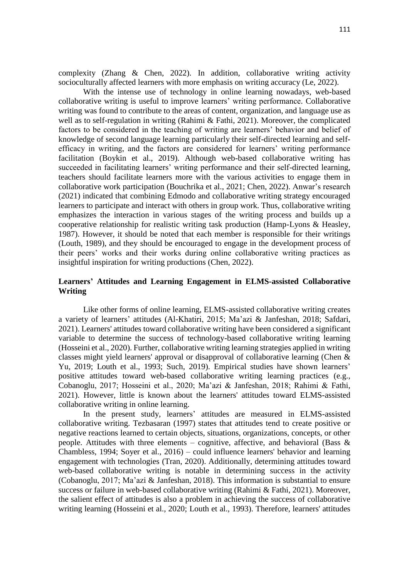complexity (Zhang & Chen, 2022). In addition, collaborative writing activity socioculturally affected learners with more emphasis on writing accuracy (Le, 2022).

With the intense use of technology in online learning nowadays, web-based collaborative writing is useful to improve learners' writing performance. Collaborative writing was found to contribute to the areas of content, organization, and language use as well as to self-regulation in writing (Rahimi & Fathi, 2021). Moreover, the complicated factors to be considered in the teaching of writing are learners' behavior and belief of knowledge of second language learning particularly their self-directed learning and selfefficacy in writing, and the factors are considered for learners' writing performance facilitation (Boykin et al., 2019). Although web-based collaborative writing has succeeded in facilitating learners' writing performance and their self-directed learning, teachers should facilitate learners more with the various activities to engage them in collaborative work participation (Bouchrika et al., 2021; Chen, 2022). Anwar's research (2021) indicated that combining Edmodo and collaborative writing strategy encouraged learners to participate and interact with others in group work. Thus, collaborative writing emphasizes the interaction in various stages of the writing process and builds up a cooperative relationship for realistic writing task production (Hamp-Lyons & Heasley, 1987). However, it should be noted that each member is responsible for their writings (Louth, 1989), and they should be encouraged to engage in the development process of their peers' works and their works during online collaborative writing practices as insightful inspiration for writing productions (Chen, 2022).

## **Learners' Attitudes and Learning Engagement in ELMS-assisted Collaborative Writing**

Like other forms of online learning, ELMS-assisted collaborative writing creates a variety of learners' attitudes (Al-Khatiri, 2015; Ma'azi & Janfeshan, 2018; Safdari, 2021). Learners' attitudes toward collaborative writing have been considered a significant variable to determine the success of technology-based collaborative writing learning (Hosseini et al., 2020). Further, collaborative writing learning strategies applied in writing classes might yield learners' approval or disapproval of collaborative learning (Chen & Yu, 2019; Louth et al., 1993; Such, 2019). Empirical studies have shown learners' positive attitudes toward web-based collaborative writing learning practices (e.g., Cobanoglu, 2017; Hosseini et al., 2020; Ma'azi & Janfeshan, 2018; Rahimi & Fathi, 2021). However, little is known about the learners' attitudes toward ELMS-assisted collaborative writing in online learning.

In the present study, learners' attitudes are measured in ELMS-assisted collaborative writing. Tezbasaran (1997) states that attitudes tend to create positive or negative reactions learned to certain objects, situations, organizations, concepts, or other people. Attitudes with three elements – cognitive, affective, and behavioral (Bass  $\&$ Chambless, 1994; Soyer et al., 2016) – could influence learners' behavior and learning engagement with technologies (Tran, 2020). Additionally, determining attitudes toward web-based collaborative writing is notable in determining success in the activity (Cobanoglu, 2017; Ma'azi & Janfeshan, 2018). This information is substantial to ensure success or failure in web-based collaborative writing (Rahimi & Fathi, 2021). Moreover, the salient effect of attitudes is also a problem in achieving the success of collaborative writing learning (Hosseini et al., 2020; Louth et al., 1993). Therefore, learners' attitudes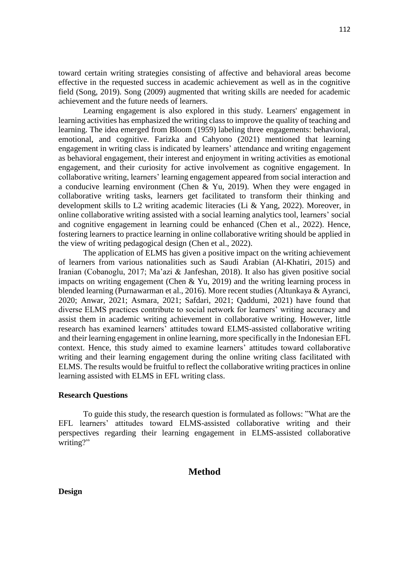toward certain writing strategies consisting of affective and behavioral areas become effective in the requested success in academic achievement as well as in the cognitive field (Song, 2019). Song (2009) augmented that writing skills are needed for academic achievement and the future needs of learners.

Learning engagement is also explored in this study. Learners' engagement in learning activities has emphasized the writing class to improve the quality of teaching and learning. The idea emerged from Bloom (1959) labeling three engagements: behavioral, emotional, and cognitive. Farizka and Cahyono (2021) mentioned that learning engagement in writing class is indicated by learners' attendance and writing engagement as behavioral engagement, their interest and enjoyment in writing activities as emotional engagement, and their curiosity for active involvement as cognitive engagement. In collaborative writing, learners' learning engagement appeared from social interaction and a conducive learning environment (Chen & Yu, 2019). When they were engaged in collaborative writing tasks, learners get facilitated to transform their thinking and development skills to L2 writing academic literacies (Li & Yang, 2022). Moreover, in online collaborative writing assisted with a social learning analytics tool, learners' social and cognitive engagement in learning could be enhanced (Chen et al., 2022). Hence, fostering learners to practice learning in online collaborative writing should be applied in the view of writing pedagogical design (Chen et al., 2022).

The application of ELMS has given a positive impact on the writing achievement of learners from various nationalities such as Saudi Arabian (Al-Khatiri, 2015) and Iranian (Cobanoglu, 2017; Ma'azi & Janfeshan, 2018). It also has given positive social impacts on writing engagement (Chen & Yu, 2019) and the writing learning process in blended learning (Purnawarman et al., 2016). More recent studies (Altunkaya & Ayranci, 2020; Anwar, 2021; Asmara, 2021; Safdari, 2021; Qaddumi, 2021) have found that diverse ELMS practices contribute to social network for learners' writing accuracy and assist them in academic writing achievement in collaborative writing. However, little research has examined learners' attitudes toward ELMS-assisted collaborative writing and their learning engagement in online learning, more specifically in the Indonesian EFL context. Hence, this study aimed to examine learners' attitudes toward collaborative writing and their learning engagement during the online writing class facilitated with ELMS. The results would be fruitful to reflect the collaborative writing practices in online learning assisted with ELMS in EFL writing class.

### **Research Questions**

To guide this study, the research question is formulated as follows: "What are the EFL learners' attitudes toward ELMS-assisted collaborative writing and their perspectives regarding their learning engagement in ELMS-assisted collaborative writing?"

### **Method**

**Design**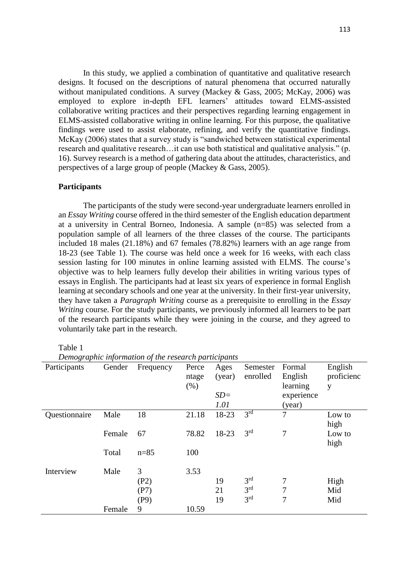In this study, we applied a combination of quantitative and qualitative research designs. It focused on the descriptions of natural phenomena that occurred naturally without manipulated conditions. A survey (Mackey & Gass, 2005; McKay, 2006) was employed to explore in-depth EFL learners' attitudes toward ELMS-assisted collaborative writing practices and their perspectives regarding learning engagement in ELMS-assisted collaborative writing in online learning. For this purpose, the qualitative findings were used to assist elaborate, refining, and verify the quantitative findings. McKay (2006) states that a survey study is "sandwiched between statistical experimental research and qualitative research…it can use both statistical and qualitative analysis." (p. 16). Survey research is a method of gathering data about the attitudes, characteristics, and perspectives of a large group of people (Mackey & Gass, 2005).

#### **Participants**

The participants of the study were second-year undergraduate learners enrolled in an *Essay Writing* course offered in the third semester of the English education department at a university in Central Borneo, Indonesia. A sample (n=85) was selected from a population sample of all learners of the three classes of the course. The participants included 18 males (21.18%) and 67 females (78.82%) learners with an age range from 18-23 (see Table 1). The course was held once a week for 16 weeks, with each class session lasting for 100 minutes in online learning assisted with ELMS. The course's objective was to help learners fully develop their abilities in writing various types of essays in English. The participants had at least six years of experience in formal English learning at secondary schools and one year at the university. In their first-year university, they have taken a *Paragraph Writing* course as a prerequisite to enrolling in the *Essay Writing* course. For the study participants, we previously informed all learners to be part of the research participants while they were joining in the course, and they agreed to voluntarily take part in the research.

Table 1

| Demographic information of the research participants |  |  |
|------------------------------------------------------|--|--|
|                                                      |  |  |

| Participants  | Gender | Denio grupine information of the research participants<br>Frequency | Perce | Ages   | Semester        | Formal     | English    |
|---------------|--------|---------------------------------------------------------------------|-------|--------|-----------------|------------|------------|
|               |        |                                                                     | ntage | (year) | enrolled        | English    | proficienc |
|               |        |                                                                     | (% )  |        |                 | learning   | y          |
|               |        |                                                                     |       | $SD =$ |                 | experience |            |
|               |        |                                                                     |       | 1.01   |                 | (year)     |            |
| Questionnaire | Male   | 18                                                                  | 21.18 | 18-23  | 3 <sup>rd</sup> | 7          | Low to     |
|               |        |                                                                     |       |        |                 |            | high       |
|               | Female | 67                                                                  | 78.82 | 18-23  | 3 <sup>rd</sup> | 7          | Low to     |
|               |        |                                                                     |       |        |                 |            | high       |
|               | Total  | $n = 85$                                                            | 100   |        |                 |            |            |
|               |        |                                                                     |       |        |                 |            |            |
| Interview     | Male   | 3                                                                   | 3.53  |        |                 |            |            |
|               |        | (P2)                                                                |       | 19     | 3 <sup>rd</sup> | 7          | High       |
|               |        | (P7)                                                                |       | 21     | 3 <sup>rd</sup> | 7          | Mid        |
|               |        | (P9)                                                                |       | 19     | 3 <sup>rd</sup> | 7          | Mid        |
|               | Female | 9                                                                   | 10.59 |        |                 |            |            |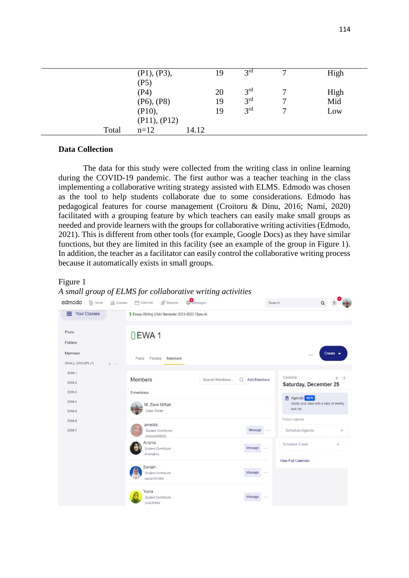|       | (P1), (P3),            |       | 19 | 3 <sup>rd</sup> |   | High        |
|-------|------------------------|-------|----|-----------------|---|-------------|
|       | (P5)<br>(P4)           |       | 20 | 3 <sup>rd</sup> |   |             |
|       | $(P6)$ , $(P8)$        |       | 19 | 3 <sup>rd</sup> | 7 | High<br>Mid |
|       | (P10),                 |       | 19 | 3 <sup>rd</sup> | 7 | Low         |
| Total | (P11), (P12)<br>$n=12$ | 14.12 |    |                 |   |             |

### **Data Collection**

The data for this study were collected from the writing class in online learning during the COVID-19 pandemic. The first author was a teacher teaching in the class implementing a collaborative writing strategy assisted with ELMS. Edmodo was chosen as the tool to help students collaborate due to some considerations. Edmodo has pedagogical features for course management (Croitoru & Dinu, 2016; Nami, 2020) facilitated with a grouping feature by which teachers can easily make small groups as needed and provide learners with the groups for collaborative writing activities (Edmodo, 2021). This is different from other tools (for example, Google Docs) as they have similar functions, but they are limited in this facility (see an example of the group in Figure 1). In addition, the teacher as a facilitator can easily control the collaborative writing process because it automatically exists in small groups.

#### Figure 1

*A small group of ELMS for collaborative writing activities*

| edmodo<br>G Home<br>$\left  \cdot \right $ Classes | Discover<br>Messages<br>Calendar                                 | Search        | Q                                                                          |
|----------------------------------------------------|------------------------------------------------------------------|---------------|----------------------------------------------------------------------------|
| <b>Your Classes</b><br>=                           | <b>I</b> Essay Writing (Odd Semester 2021-2022 Class A)          |               |                                                                            |
| Posts<br>Folders                                   | OEWA1                                                            |               |                                                                            |
| Members<br>SMALL GROUPS (7)<br>$+ \cdots$          | Posts<br>Folders<br>Members                                      |               | Create $\bullet$<br>                                                       |
| EWA <sub>1</sub><br>EWA <sub>2</sub>               | <b>Members</b><br><b>Add Members</b><br>Search Members<br>Ω      |               | Calendar<br>$\leftarrow$ $\rightarrow$<br>Saturday, December 25            |
| EWA <sub>3</sub><br>EWA 4<br>EWA <sub>5</sub>      | 5 members<br>M. Zaini Miftah<br>Class Owner                      |               | <b>Agenda</b> NEW<br>Guide your class with a daily or weekly<br>task list. |
| EWA <sub>6</sub><br>EWA 7                          | amelda.<br>Message<br>Student Contributor<br>amelda488828        | 10000         | Today's Agenda<br>$+$<br>Schedule Agenda                                   |
|                                                    | Arisma.<br>Message<br><b>Student Contributor</b><br>Arismaima    | $  -$         | <b>Schedule Event</b><br>$\div$<br><b>View Full Calendar</b>               |
|                                                    | Saniah.<br>Message<br><b>Student Contributor</b><br>saniah491990 | $\sim$ $\sim$ |                                                                            |
|                                                    | Yuvia.<br>Message<br><b>Student Contributor</b><br>vvia255940    | $\cdots$      |                                                                            |

 $\bullet$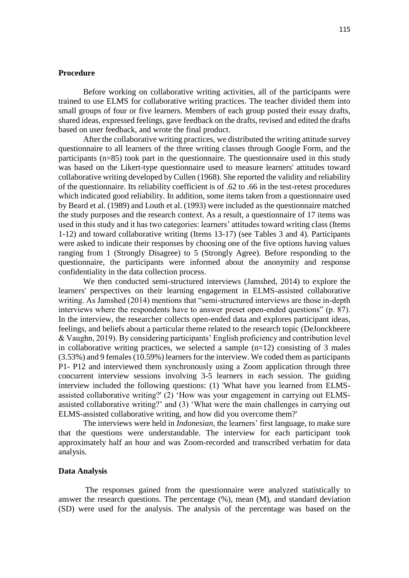### **Procedure**

Before working on collaborative writing activities, all of the participants were trained to use ELMS for collaborative writing practices. The teacher divided them into small groups of four or five learners. Members of each group posted their essay drafts, shared ideas, expressed feelings, gave feedback on the drafts, revised and edited the drafts based on user feedback, and wrote the final product.

After the collaborative writing practices, we distributed the writing attitude survey questionnaire to all learners of the three writing classes through Google Form, and the participants (n=85) took part in the questionnaire. The questionnaire used in this study was based on the Likert-type questionnaire used to measure learners' attitudes toward collaborative writing developed by Cullen (1968). She reported the validity and reliability of the questionnaire. Its reliability coefficient is of .62 to .66 in the test-retest procedures which indicated good reliability. In addition, some items taken from a questionnaire used by Beard et al. (1989) and Louth et al. (1993) were included as the questionnaire matched the study purposes and the research context. As a result, a questionnaire of 17 items was used in this study and it has two categories: learners' attitudes toward writing class (Items 1-12) and toward collaborative writing (Items 13-17) (see Tables 3 and 4). Participants were asked to indicate their responses by choosing one of the five options having values ranging from 1 (Strongly Disagree) to 5 (Strongly Agree). Before responding to the questionnaire, the participants were informed about the anonymity and response confidentiality in the data collection process.

We then conducted semi-structured interviews (Jamshed, 2014) to explore the learners' perspectives on their learning engagement in ELMS-assisted collaborative writing. As Jamshed (2014) mentions that "semi-structured interviews are those in-depth interviews where the respondents have to answer preset open-ended questions" (p. 87). In the interview, the researcher collects open-ended data and explores participant ideas, feelings, and beliefs about a particular theme related to the research topic (DeJonckheere & Vaughn, 2019). By considering participants' English proficiency and contribution level in collaborative writing practices, we selected a sample  $(n=12)$  consisting of 3 males (3.53%) and 9 females (10.59%) learners for the interview. We coded them as participants P1- P12 and interviewed them synchronously using a Zoom application through three concurrent interview sessions involving 3-5 learners in each session. The guiding interview included the following questions: (1) 'What have you learned from ELMSassisted collaborative writing?' (2) 'How was your engagement in carrying out ELMSassisted collaborative writing?' and (3) 'What were the main challenges in carrying out ELMS-assisted collaborative writing, and how did you overcome them?'

The interviews were held in *Indonesian*, the learners' first language, to make sure that the questions were understandable. The interview for each participant took approximately half an hour and was Zoom-recorded and transcribed verbatim for data analysis.

#### **Data Analysis**

The responses gained from the questionnaire were analyzed statistically to answer the research questions. The percentage (%), mean (M), and standard deviation (SD) were used for the analysis. The analysis of the percentage was based on the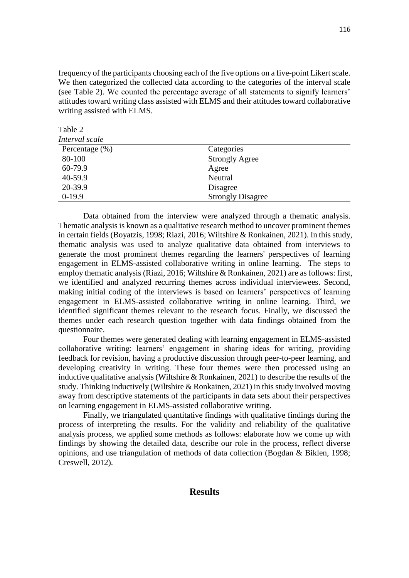frequency of the participants choosing each of the five options on a five-point Likert scale. We then categorized the collected data according to the categories of the interval scale (see Table 2). We counted the percentage average of all statements to signify learners' attitudes toward writing class assisted with ELMS and their attitudes toward collaborative writing assisted with ELMS.

Table 2

| Interval scale     |                          |  |
|--------------------|--------------------------|--|
| Percentage $(\% )$ | Categories               |  |
| 80-100             | <b>Strongly Agree</b>    |  |
| 60-79.9            | Agree                    |  |
| 40-59.9            | Neutral                  |  |
| 20-39.9            | Disagree                 |  |
| $0-19.9$           | <b>Strongly Disagree</b> |  |

Data obtained from the interview were analyzed through a thematic analysis. Thematic analysis is known as a qualitative research method to uncover prominent themes in certain fields (Boyatzis, 1998; Riazi, 2016; Wiltshire & Ronkainen, 2021). In this study, thematic analysis was used to analyze qualitative data obtained from interviews to generate the most prominent themes regarding the learners' perspectives of learning engagement in ELMS-assisted collaborative writing in online learning. The steps to employ thematic analysis (Riazi, 2016; Wiltshire & Ronkainen, 2021) are as follows: first, we identified and analyzed recurring themes across individual interviewees. Second, making initial coding of the interviews is based on learners' perspectives of learning engagement in ELMS-assisted collaborative writing in online learning. Third, we identified significant themes relevant to the research focus. Finally, we discussed the themes under each research question together with data findings obtained from the questionnaire.

Four themes were generated dealing with learning engagement in ELMS-assisted collaborative writing: learners' engagement in sharing ideas for writing, providing feedback for revision, having a productive discussion through peer-to-peer learning, and developing creativity in writing. These four themes were then processed using an inductive qualitative analysis (Wiltshire  $\&$  Ronkainen, 2021) to describe the results of the study. Thinking inductively (Wiltshire & Ronkainen, 2021) in this study involved moving away from descriptive statements of the participants in data sets about their perspectives on learning engagement in ELMS-assisted collaborative writing.

Finally, we triangulated quantitative findings with qualitative findings during the process of interpreting the results. For the validity and reliability of the qualitative analysis process, we applied some methods as follows: elaborate how we come up with findings by showing the detailed data, describe our role in the process, reflect diverse opinions, and use triangulation of methods of data collection (Bogdan & Biklen, 1998; Creswell, 2012).

# **Results**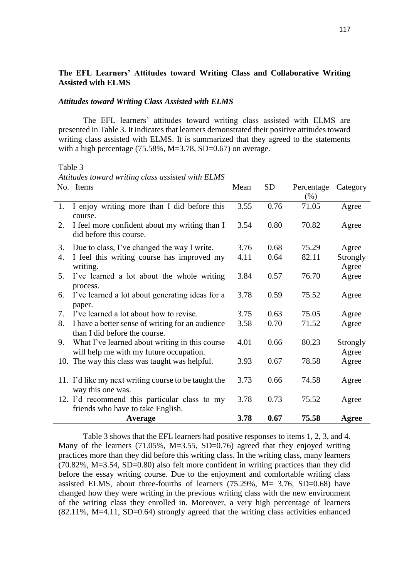## **The EFL Learners' Attitudes toward Writing Class and Collaborative Writing Assisted with ELMS**

### *Attitudes toward Writing Class Assisted with ELMS*

The EFL learners' attitudes toward writing class assisted with ELMS are presented in Table 3. It indicates that learners demonstrated their positive attitudes toward writing class assisted with ELMS. It is summarized that they agreed to the statements with a high percentage  $(75.58\%, M=3.78, SD=0.67)$  on average.

Table 3

| Attitudes toward writing class assisted with ELMS |  |  |  |  |  |
|---------------------------------------------------|--|--|--|--|--|
|---------------------------------------------------|--|--|--|--|--|

|    | No. Items                                                                | Mean | <b>SD</b> | Percentage | Category |
|----|--------------------------------------------------------------------------|------|-----------|------------|----------|
|    |                                                                          |      |           | $(\%)$     |          |
| 1. | I enjoy writing more than I did before this                              | 3.55 | 0.76      | 71.05      | Agree    |
|    | course.                                                                  |      |           |            |          |
| 2. | I feel more confident about my writing than I<br>did before this course. | 3.54 | 0.80      | 70.82      | Agree    |
| 3. | Due to class, I've changed the way I write.                              | 3.76 | 0.68      | 75.29      | Agree    |
| 4. | I feel this writing course has improved my                               | 4.11 | 0.64      | 82.11      | Strongly |
|    | writing.                                                                 |      |           |            | Agree    |
| 5. | I've learned a lot about the whole writing                               | 3.84 | 0.57      | 76.70      | Agree    |
|    | process.                                                                 |      |           |            |          |
| 6. | I've learned a lot about generating ideas for a                          | 3.78 | 0.59      | 75.52      | Agree    |
|    | paper.                                                                   |      |           |            |          |
| 7. | I've learned a lot about how to revise.                                  | 3.75 | 0.63      | 75.05      | Agree    |
| 8. | I have a better sense of writing for an audience                         | 3.58 | 0.70      | 71.52      | Agree    |
|    | than I did before the course.                                            |      |           |            |          |
| 9. | What I've learned about writing in this course                           | 4.01 | 0.66      | 80.23      | Strongly |
|    | will help me with my future occupation.                                  |      |           |            | Agree    |
|    | 10. The way this class was taught was helpful.                           | 3.93 | 0.67      | 78.58      | Agree    |
|    |                                                                          |      |           |            |          |
|    | 11. I'd like my next writing course to be taught the                     | 3.73 | 0.66      | 74.58      | Agree    |
|    | way this one was.                                                        |      |           |            |          |
|    | 12. I'd recommend this particular class to my                            | 3.78 | 0.73      | 75.52      | Agree    |
|    | friends who have to take English.                                        |      |           |            |          |
|    | Average                                                                  | 3.78 | 0.67      | 75.58      | Agree    |

Table 3 shows that the EFL learners had positive responses to items 1, 2, 3, and 4. Many of the learners (71.05%, M=3.55, SD=0.76) agreed that they enjoyed writing practices more than they did before this writing class. In the writing class, many learners (70.82%, M=3.54, SD=0.80) also felt more confident in writing practices than they did before the essay writing course. Due to the enjoyment and comfortable writing class assisted ELMS, about three-fourths of learners (75.29%, M= 3.76, SD=0.68) have changed how they were writing in the previous writing class with the new environment of the writing class they enrolled in. Moreover, a very high percentage of learners (82.11%, M=4.11, SD=0.64) strongly agreed that the writing class activities enhanced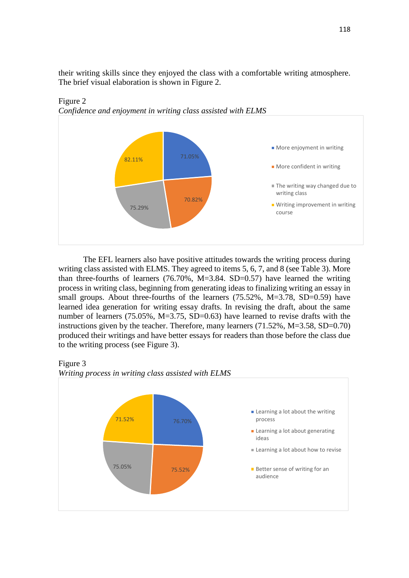their writing skills since they enjoyed the class with a comfortable writing atmosphere. The brief visual elaboration is shown in Figure 2.



Figure 2 *Confidence and enjoyment in writing class assisted with ELMS*

The EFL learners also have positive attitudes towards the writing process during writing class assisted with ELMS. They agreed to items 5, 6, 7, and 8 (see Table 3). More than three-fourths of learners  $(76.70\% , M=3.84. SD=0.57)$  have learned the writing process in writing class, beginning from generating ideas to finalizing writing an essay in small groups. About three-fourths of the learners (75.52%, M=3.78, SD=0.59) have learned idea generation for writing essay drafts. In revising the draft, about the same number of learners (75.05%, M=3.75, SD=0.63) have learned to revise drafts with the instructions given by the teacher. Therefore, many learners (71.52%, M=3.58, SD=0.70) produced their writings and have better essays for readers than those before the class due to the writing process (see Figure 3).





*Writing process in writing class assisted with ELMS*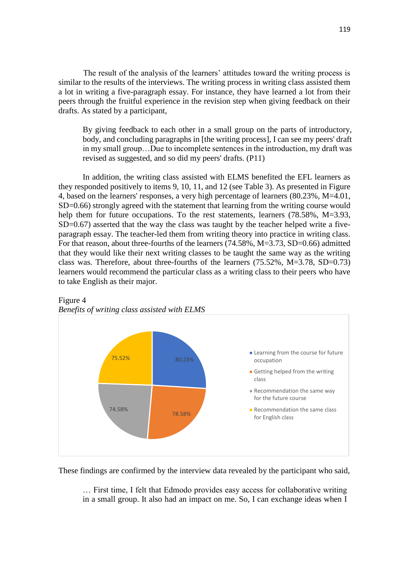The result of the analysis of the learners' attitudes toward the writing process is similar to the results of the interviews. The writing process in writing class assisted them a lot in writing a five-paragraph essay. For instance, they have learned a lot from their peers through the fruitful experience in the revision step when giving feedback on their drafts. As stated by a participant,

By giving feedback to each other in a small group on the parts of introductory, body, and concluding paragraphs in [the writing process], I can see my peers' draft in my small group…Due to incomplete sentences in the introduction, my draft was revised as suggested, and so did my peers' drafts. (P11)

In addition, the writing class assisted with ELMS benefited the EFL learners as they responded positively to items 9, 10, 11, and 12 (see Table 3). As presented in Figure 4, based on the learners' responses, a very high percentage of learners (80.23%, M=4.01, SD=0.66) strongly agreed with the statement that learning from the writing course would help them for future occupations. To the rest statements, learners (78.58%, M=3.93, SD=0.67) asserted that the way the class was taught by the teacher helped write a fiveparagraph essay. The teacher-led them from writing theory into practice in writing class. For that reason, about three-fourths of the learners (74.58%, M=3.73, SD=0.66) admitted that they would like their next writing classes to be taught the same way as the writing class was. Therefore, about three-fourths of the learners  $(75.52\%$ , M=3.78, SD=0.73) learners would recommend the particular class as a writing class to their peers who have to take English as their major.



Figure 4 *Benefits of writing class assisted with ELMS*

These findings are confirmed by the interview data revealed by the participant who said,

… First time, I felt that Edmodo provides easy access for collaborative writing in a small group. It also had an impact on me. So, I can exchange ideas when I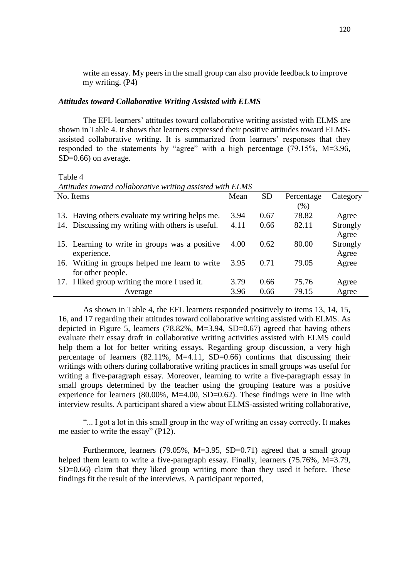write an essay. My peers in the small group can also provide feedback to improve my writing. (P4)

### *Attitudes toward Collaborative Writing Assisted with ELMS*

The EFL learners' attitudes toward collaborative writing assisted with ELMS are shown in Table 4. It shows that learners expressed their positive attitudes toward ELMSassisted collaborative writing. It is summarized from learners' responses that they responded to the statements by "agree" with a high percentage (79.15%, M=3.96, SD=0.66) on average.

Table 4

| Attitudes toward collaborative writing assisted with ELMS |  |  |  |  |
|-----------------------------------------------------------|--|--|--|--|
|                                                           |  |  |  |  |

| No. Items                                        | Mean | <b>SD</b> | Percentage | Category |
|--------------------------------------------------|------|-----------|------------|----------|
|                                                  |      |           | $(\%)$     |          |
| 13. Having others evaluate my writing helps me.  | 3.94 | 0.67      | 78.82      | Agree    |
| 14. Discussing my writing with others is useful. | 4.11 | 0.66      | 82.11      | Strongly |
|                                                  |      |           |            | Agree    |
| 15. Learning to write in groups was a positive   | 4.00 | 0.62      | 80.00      | Strongly |
| experience.                                      |      |           |            | Agree    |
| 16. Writing in groups helped me learn to write   | 3.95 | 0.71      | 79.05      | Agree    |
| for other people.                                |      |           |            |          |
| 17. I liked group writing the more I used it.    | 3.79 | 0.66      | 75.76      | Agree    |
| Average                                          | 3.96 | 0.66      | 79.15      | Agree    |

As shown in Table 4, the EFL learners responded positively to items 13, 14, 15, 16, and 17 regarding their attitudes toward collaborative writing assisted with ELMS. As depicted in Figure 5, learners  $(78.82\%, M=3.94, SD=0.67)$  agreed that having others evaluate their essay draft in collaborative writing activities assisted with ELMS could help them a lot for better writing essays. Regarding group discussion, a very high percentage of learners  $(82.11\%, M=4.11, SD=0.66)$  confirms that discussing their writings with others during collaborative writing practices in small groups was useful for writing a five-paragraph essay. Moreover, learning to write a five-paragraph essay in small groups determined by the teacher using the grouping feature was a positive experience for learners  $(80.00\%$ , M=4.00, SD=0.62). These findings were in line with interview results. A participant shared a view about ELMS-assisted writing collaborative,

"... I got a lot in this small group in the way of writing an essay correctly. It makes me easier to write the essay" (P12).

Furthermore, learners (79.05%, M=3.95, SD=0.71) agreed that a small group helped them learn to write a five-paragraph essay. Finally, learners (75.76%, M=3.79, SD=0.66) claim that they liked group writing more than they used it before. These findings fit the result of the interviews. A participant reported,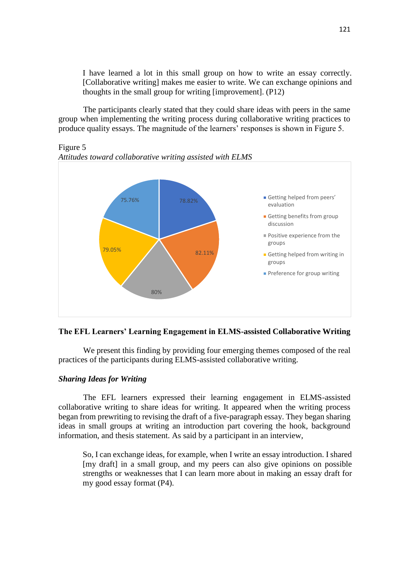I have learned a lot in this small group on how to write an essay correctly. [Collaborative writing] makes me easier to write. We can exchange opinions and thoughts in the small group for writing [improvement]. (P12)

The participants clearly stated that they could share ideas with peers in the same group when implementing the writing process during collaborative writing practices to produce quality essays. The magnitude of the learners' responses is shown in Figure 5.

Figure 5



*Attitudes toward collaborative writing assisted with ELMS*

# **The EFL Learners' Learning Engagement in ELMS-assisted Collaborative Writing**

We present this finding by providing four emerging themes composed of the real practices of the participants during ELMS-assisted collaborative writing.

### *Sharing Ideas for Writing*

The EFL learners expressed their learning engagement in ELMS-assisted collaborative writing to share ideas for writing. It appeared when the writing process began from prewriting to revising the draft of a five-paragraph essay. They began sharing ideas in small groups at writing an introduction part covering the hook, background information, and thesis statement. As said by a participant in an interview,

So, I can exchange ideas, for example, when I write an essay introduction. I shared [my draft] in a small group, and my peers can also give opinions on possible strengths or weaknesses that I can learn more about in making an essay draft for my good essay format (P4).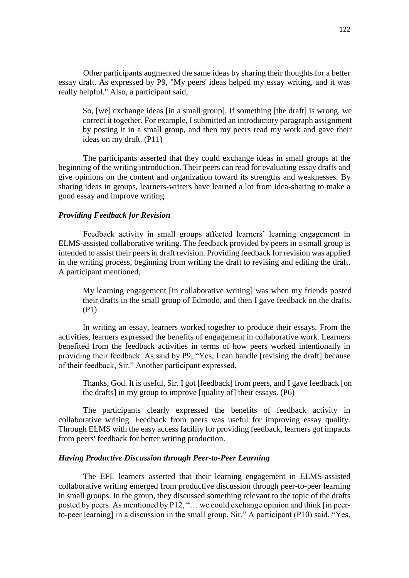Other participants augmented the same ideas by sharing their thoughts for a better essay draft. As expressed by P9, "My peers' ideas helped my essay writing, and it was really helpful." Also, a participant said,

So, [we] exchange ideas [in a small group]. If something [the draft] is wrong, we correct it together. For example, I submitted an introductory paragraph assignment by posting it in a small group, and then my peers read my work and gave their ideas on my draft. (P11)

The participants asserted that they could exchange ideas in small groups at the beginning of the writing introduction. Their peers can read for evaluating essay drafts and give opinions on the content and organization toward its strengths and weaknesses. By sharing ideas in groups, learners-writers have learned a lot from idea-sharing to make a good essay and improve writing.

#### *Providing Feedback for Revision*

Feedback activity in small groups affected learners' learning engagement in ELMS-assisted collaborative writing. The feedback provided by peers in a small group is intended to assist their peers in draft revision. Providing feedback for revision was applied in the writing process, beginning from writing the draft to revising and editing the draft. A participant mentioned,

My learning engagement [in collaborative writing] was when my friends posted their drafts in the small group of Edmodo, and then I gave feedback on the drafts. (P1)

In writing an essay, learners worked together to produce their essays. From the activities, learners expressed the benefits of engagement in collaborative work. Learners benefited from the feedback activities in terms of how peers worked intentionally in providing their feedback. As said by P9, "Yes, I can handle [revising the draft] because of their feedback, Sir." Another participant expressed,

Thanks, God. It is useful, Sir. I got [feedback] from peers, and I gave feedback [on the drafts] in my group to improve [quality of] their essays. (P6)

The participants clearly expressed the benefits of feedback activity in collaborative writing. Feedback from peers was useful for improving essay quality. Through ELMS with the easy access facility for providing feedback, learners got impacts from peers' feedback for better writing production.

### *Having Productive Discussion through Peer-to-Peer Learning*

The EFL learners asserted that their learning engagement in ELMS-assisted collaborative writing emerged from productive discussion through peer-to-peer learning in small groups. In the group, they discussed something relevant to the topic of the drafts posted by peers. As mentioned by P12, "… we could exchange opinion and think [in peerto-peer learning] in a discussion in the small group, Sir." A participant (P10) said, "Yes,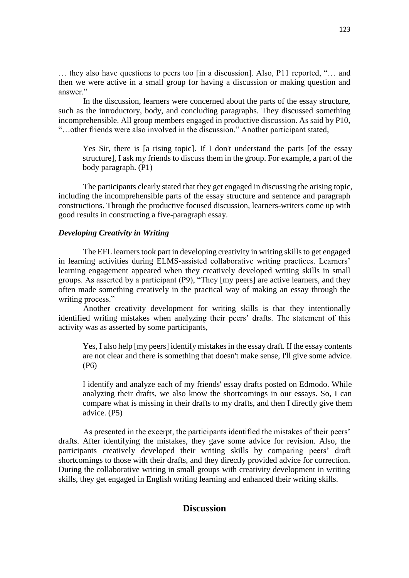… they also have questions to peers too [in a discussion]. Also, P11 reported, "… and then we were active in a small group for having a discussion or making question and answer."

In the discussion, learners were concerned about the parts of the essay structure, such as the introductory, body, and concluding paragraphs. They discussed something incomprehensible. All group members engaged in productive discussion. As said by P10, "…other friends were also involved in the discussion." Another participant stated,

Yes Sir, there is [a rising topic]. If I don't understand the parts [of the essay structure], I ask my friends to discuss them in the group. For example, a part of the body paragraph. (P1)

The participants clearly stated that they get engaged in discussing the arising topic, including the incomprehensible parts of the essay structure and sentence and paragraph constructions. Through the productive focused discussion, learners-writers come up with good results in constructing a five-paragraph essay.

### *Developing Creativity in Writing*

The EFL learners took part in developing creativity in writing skills to get engaged in learning activities during ELMS-assisted collaborative writing practices. Learners' learning engagement appeared when they creatively developed writing skills in small groups. As asserted by a participant (P9), "They [my peers] are active learners, and they often made something creatively in the practical way of making an essay through the writing process."

Another creativity development for writing skills is that they intentionally identified writing mistakes when analyzing their peers' drafts. The statement of this activity was as asserted by some participants,

Yes, I also help [my peers] identify mistakes in the essay draft. If the essay contents are not clear and there is something that doesn't make sense, I'll give some advice. (P6)

I identify and analyze each of my friends' essay drafts posted on Edmodo. While analyzing their drafts, we also know the shortcomings in our essays. So, I can compare what is missing in their drafts to my drafts, and then I directly give them advice. (P5)

As presented in the excerpt, the participants identified the mistakes of their peers' drafts. After identifying the mistakes, they gave some advice for revision. Also, the participants creatively developed their writing skills by comparing peers' draft shortcomings to those with their drafts, and they directly provided advice for correction. During the collaborative writing in small groups with creativity development in writing skills, they get engaged in English writing learning and enhanced their writing skills.

# **Discussion**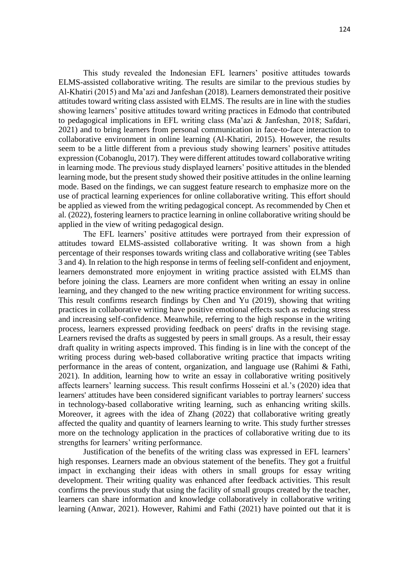This study revealed the Indonesian EFL learners' positive attitudes towards ELMS-assisted collaborative writing. The results are similar to the previous studies by Al-Khatiri (2015) and Ma'azi and Janfeshan (2018). Learners demonstrated their positive attitudes toward writing class assisted with ELMS. The results are in line with the studies showing learners' positive attitudes toward writing practices in Edmodo that contributed to pedagogical implications in EFL writing class (Ma'azi & Janfeshan, 2018; Safdari, 2021) and to bring learners from personal communication in face-to-face interaction to collaborative environment in online learning (Al-Khatiri, 2015). However, the results seem to be a little different from a previous study showing learners' positive attitudes expression (Cobanoglu, 2017). They were different attitudes toward collaborative writing in learning mode. The previous study displayed learners' positive attitudes in the blended learning mode, but the present study showed their positive attitudes in the online learning mode. Based on the findings, we can suggest feature research to emphasize more on the use of practical learning experiences for online collaborative writing. This effort should be applied as viewed from the writing pedagogical concept. As recommended by Chen et al. (2022), fostering learners to practice learning in online collaborative writing should be applied in the view of writing pedagogical design.

The EFL learners' positive attitudes were portrayed from their expression of attitudes toward ELMS-assisted collaborative writing. It was shown from a high percentage of their responses towards writing class and collaborative writing (see Tables 3 and 4). In relation to the high response in terms of feeling self-confident and enjoyment, learners demonstrated more enjoyment in writing practice assisted with ELMS than before joining the class. Learners are more confident when writing an essay in online learning, and they changed to the new writing practice environment for writing success. This result confirms research findings by Chen and Yu (2019), showing that writing practices in collaborative writing have positive emotional effects such as reducing stress and increasing self-confidence. Meanwhile, referring to the high response in the writing process, learners expressed providing feedback on peers' drafts in the revising stage. Learners revised the drafts as suggested by peers in small groups. As a result, their essay draft quality in writing aspects improved. This finding is in line with the concept of the writing process during web-based collaborative writing practice that impacts writing performance in the areas of content, organization, and language use (Rahimi & Fathi, 2021). In addition, learning how to write an essay in collaborative writing positively affects learners' learning success. This result confirms Hosseini et al.'s (2020) idea that learners' attitudes have been considered significant variables to portray learners' success in technology-based collaborative writing learning, such as enhancing writing skills. Moreover, it agrees with the idea of Zhang (2022) that collaborative writing greatly affected the quality and quantity of learners learning to write. This study further stresses more on the technology application in the practices of collaborative writing due to its strengths for learners' writing performance.

Justification of the benefits of the writing class was expressed in EFL learners' high responses. Learners made an obvious statement of the benefits. They got a fruitful impact in exchanging their ideas with others in small groups for essay writing development. Their writing quality was enhanced after feedback activities. This result confirms the previous study that using the facility of small groups created by the teacher, learners can share information and knowledge collaboratively in collaborative writing learning (Anwar, 2021). However, Rahimi and Fathi (2021) have pointed out that it is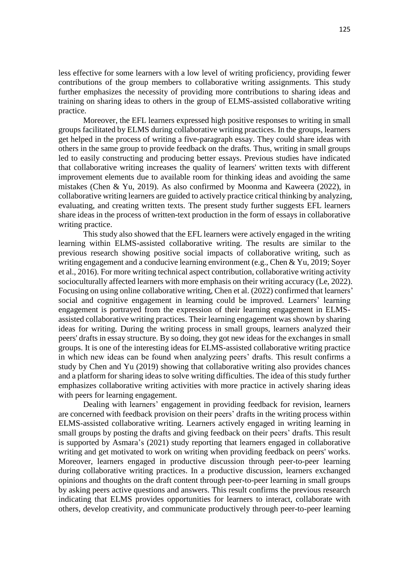less effective for some learners with a low level of writing proficiency, providing fewer contributions of the group members to collaborative writing assignments. This study further emphasizes the necessity of providing more contributions to sharing ideas and training on sharing ideas to others in the group of ELMS-assisted collaborative writing practice.

Moreover, the EFL learners expressed high positive responses to writing in small groups facilitated by ELMS during collaborative writing practices. In the groups, learners get helped in the process of writing a five-paragraph essay. They could share ideas with others in the same group to provide feedback on the drafts. Thus, writing in small groups led to easily constructing and producing better essays. Previous studies have indicated that collaborative writing increases the quality of learners' written texts with different improvement elements due to available room for thinking ideas and avoiding the same mistakes (Chen & Yu, 2019). As also confirmed by Moonma and Kaweera (2022), in collaborative writing learners are guided to actively practice critical thinking by analyzing, evaluating, and creating written texts. The present study further suggests EFL learners share ideas in the process of written-text production in the form of essays in collaborative writing practice.

This study also showed that the EFL learners were actively engaged in the writing learning within ELMS-assisted collaborative writing. The results are similar to the previous research showing positive social impacts of collaborative writing, such as writing engagement and a conducive learning environment (e.g., Chen & Yu, 2019; Soyer et al., 2016). For more writing technical aspect contribution, collaborative writing activity socioculturally affected learners with more emphasis on their writing accuracy (Le, 2022). Focusing on using online collaborative writing, Chen et al. (2022) confirmed that learners' social and cognitive engagement in learning could be improved. Learners' learning engagement is portrayed from the expression of their learning engagement in ELMSassisted collaborative writing practices. Their learning engagement was shown by sharing ideas for writing. During the writing process in small groups, learners analyzed their peers' drafts in essay structure. By so doing, they got new ideas for the exchanges in small groups. It is one of the interesting ideas for ELMS-assisted collaborative writing practice in which new ideas can be found when analyzing peers' drafts. This result confirms a study by Chen and Yu (2019) showing that collaborative writing also provides chances and a platform for sharing ideas to solve writing difficulties. The idea of this study further emphasizes collaborative writing activities with more practice in actively sharing ideas with peers for learning engagement.

Dealing with learners' engagement in providing feedback for revision, learners are concerned with feedback provision on their peers' drafts in the writing process within ELMS-assisted collaborative writing. Learners actively engaged in writing learning in small groups by posting the drafts and giving feedback on their peers' drafts. This result is supported by Asmara's (2021) study reporting that learners engaged in collaborative writing and get motivated to work on writing when providing feedback on peers' works. Moreover, learners engaged in productive discussion through peer-to-peer learning during collaborative writing practices. In a productive discussion, learners exchanged opinions and thoughts on the draft content through peer-to-peer learning in small groups by asking peers active questions and answers. This result confirms the previous research indicating that ELMS provides opportunities for learners to interact, collaborate with others, develop creativity, and communicate productively through peer-to-peer learning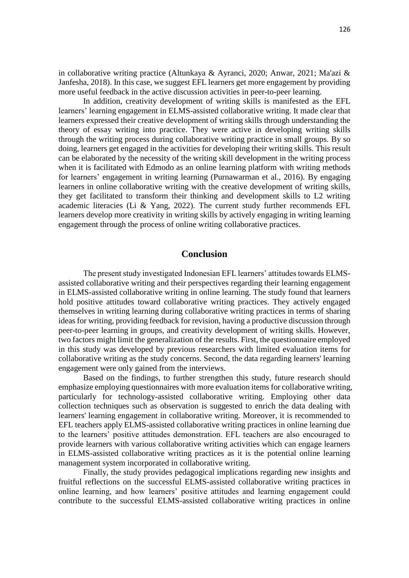in collaborative writing practice (Altunkaya & Ayranci, 2020; Anwar, 2021; Ma'azi & Janfesha, 2018). In this case, we suggest EFL learners get more engagement by providing more useful feedback in the active discussion activities in peer-to-peer learning.

In addition, creativity development of writing skills is manifested as the EFL learners' learning engagement in ELMS-assisted collaborative writing. It made clear that learners expressed their creative development of writing skills through understanding the theory of essay writing into practice. They were active in developing writing skills through the writing process during collaborative writing practice in small groups. By so doing, learners get engaged in the activities for developing their writing skills. This result can be elaborated by the necessity of the writing skill development in the writing process when it is facilitated with Edmodo as an online learning platform with writing methods for learners' engagement in writing learning (Purnawarman et al., 2016). By engaging learners in online collaborative writing with the creative development of writing skills, they get facilitated to transform their thinking and development skills to L2 writing academic literacies (Li & Yang, 2022). The current study further recommends EFL learners develop more creativity in writing skills by actively engaging in writing learning engagement through the process of online writing collaborative practices.

## **Conclusion**

The present study investigated Indonesian EFL learners' attitudes towards ELMSassisted collaborative writing and their perspectives regarding their learning engagement in ELMS-assisted collaborative writing in online learning. The study found that learners hold positive attitudes toward collaborative writing practices. They actively engaged themselves in writing learning during collaborative writing practices in terms of sharing ideas for writing, providing feedback for revision, having a productive discussion through peer-to-peer learning in groups, and creativity development of writing skills. However, two factors might limit the generalization of the results. First, the questionnaire employed in this study was developed by previous researchers with limited evaluation items for collaborative writing as the study concerns. Second, the data regarding learners' learning engagement were only gained from the interviews.

Based on the findings, to further strengthen this study, future research should emphasize employing questionnaires with more evaluation items for collaborative writing, particularly for technology-assisted collaborative writing. Employing other data collection techniques such as observation is suggested to enrich the data dealing with learners' learning engagement in collaborative writing. Moreover, it is recommended to EFL teachers apply ELMS-assisted collaborative writing practices in online learning due to the learners' positive attitudes demonstration. EFL teachers are also encouraged to provide learners with various collaborative writing activities which can engage learners in ELMS-assisted collaborative writing practices as it is the potential online learning management system incorporated in collaborative writing.

Finally, the study provides pedagogical implications regarding new insights and fruitful reflections on the successful ELMS-assisted collaborative writing practices in online learning, and how learners' positive attitudes and learning engagement could contribute to the successful ELMS-assisted collaborative writing practices in online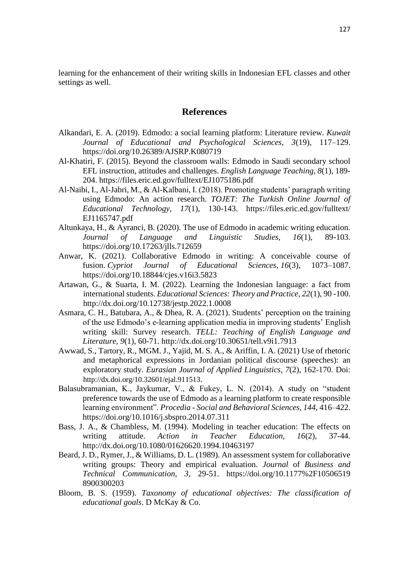learning for the enhancement of their writing skills in Indonesian EFL classes and other settings as well.

# **References**

- Alkandari, E. A. (2019). Edmodo: a social learning platform: Literature review. *Kuwait Journal of Educational and Psychological Sciences, 3*(19), 117–129. https://doi.org/10.26389/AJSRP.K080719
- Al-Khatiri, F. (2015). Beyond the classroom walls: Edmodo in Saudi secondary school EFL instruction, attitudes and challenges. *English Language Teaching, 8*(1), 189- 204.<https://files.eric.ed.gov/fulltext/EJ1075186.pdf>
- Al-Naibi, I., Al-Jabri, M., & Al-Kalbani, I. (2018). Promoting students' paragraph writing using Edmodo: An action research. *TOJET: The Turkish Online Journal of Educational Technology, 17*(1), 130-143. https://files.eric.ed.gov/fulltext/ EJ1165747.pdf
- Altunkaya, H., & Ayranci, B. (2020). The use of Edmodo in academic writing education. *Journal of Language and Linguistic Studies, 16*(1), 89-103. https://doi.org/10.17263/jlls.712659
- Anwar, K. (2021). Collaborative Edmodo in writing: A conceivable course of fusion. *Cypriot Journal of Educational Sciences*, *16*(3), 1073–1087. https://doi.org/10.18844/cjes.v16i3.5823
- Artawan, G., & Suarta, I. M. (2022). Learning the Indonesian language: a fact from international students. *Educational Sciences: Theory and Practice, 22*(1), 90 -100. http://dx.doi.org/10.12738/jestp.2022.1.0008
- Asmara, C. H., Batubara, A., & Dhea, R. A. (2021). Students' perception on the training of the use Edmodo's e-learning application media in improving students' English writing skill: Survey research. *TELL: Teaching of English Language and Literature, 9*(1), 60-71.<http://dx.doi.org/10.30651/tell.v9i1.7913>
- Awwad, S., Tartory, R., MGM. J., Yajid, M. S. A., & Ariffin, I. A. (2021) Use of rhetoric and metaphorical expressions in Jordanian political discourse (speeches): an exploratory study. *Eurasian Journal of Applied Linguistics, 7*(2), 162-170. Doi: http://dx.doi.org/10.32601/ejal.911513.
- Balasubramanian, K., Jaykumar, V., & Fukey, L. N. (2014). A study on "student preference towards the use of Edmodo as a learning platform to create responsible learning environment". *Procedia - Social and Behavioral Sciences, 144*, 416–422. <https://doi.org/10.1016/j.sbspro.2014.07.311>
- Bass, J. A., & Chambless, M. (1994). Modeling in teacher education: The effects on writing attitude. *Action in Teacher Education, 16*(2), 37-44. http://dx.doi.org/10.1080/01626620.1994.10463197
- Beard, J. D., Rymer, J., & Williams, D. L. (1989). An assessment system for collaborative writing groups: Theory and empirical evaluation. *Journal* of *Business and Technical Communication, 3,* 29-51. https://doi.org/10.1177%2F10506519 8900300203
- Bloom, B. S. (1959). *Taxonomy of educational objectives: The classification of educational goals*. D McKay & Co.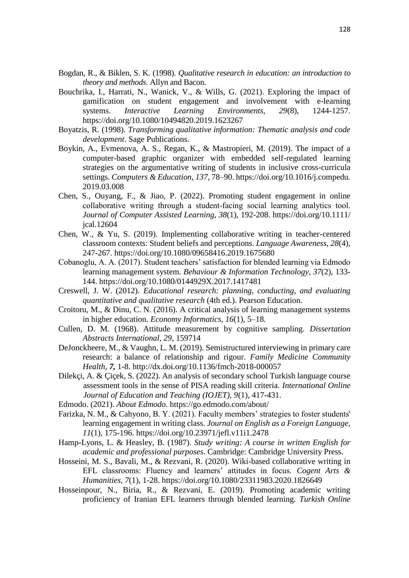- Bogdan, R., & Biklen, S. K. (1998). *Qualitative research in education: an introduction to theory and methods*. Allyn and Bacon.
- Bouchrika, I., Harrati, N., Wanick, V., & Wills, G. (2021). Exploring the impact of gamification on student engagement and involvement with e-learning systems. *Interactive Learning Environments, 29*(8), 1244-1257. https://doi.org/10.1080/10494820.2019.1623267
- Boyatzis, R. (1998). *Transforming qualitative information: Thematic analysis and code development*. Sage Publications.
- Boykin, A., Evmenova, A. S., Regan, K., & Mastropieri, M. (2019). The impact of a computer-based graphic organizer with embedded self-regulated learning strategies on the argumentative writing of students in inclusive cross-curricula settings. *Computers & Education*, *137*, 78–90. https://doi.org/10.1016/j.compedu. 2019.03.008
- Chen, S., Ouyang, F., & Jiao, P. (2022). Promoting student engagement in online collaborative writing through a student‐facing social learning analytics tool. *Journal of Computer Assisted Learning*, *38*(1), 192-208. https://doi.org/10.1111/ jcal.12604
- Chen, W., & Yu, S. (2019). Implementing collaborative writing in teacher-centered classroom contexts: Student beliefs and perceptions. *Language Awareness, 28*(4), 247-267.<https://doi.org/10.1080/09658416.2019.1675680>
- Cobanoglu, A. A. (2017). Student teachers' satisfaction for blended learning via Edmodo learning management system. *Behaviour & Information Technology, 37*(2), 133- 144.<https://doi.org/10.1080/0144929X.2017.1417481>
- Creswell, J. W. (2012). *Educational research: planning, conducting, and evaluating quantitative and qualitative research* (4th ed.). Pearson Education.
- Croitoru, M., & Dinu, C. N. (2016). A critical analysis of learning management systems in higher education. *Economy Informatics, 16*(1), 5–18.
- Cullen, D. M. (1968). Attitude measurement by cognitive sampling. *Dissertation Abstracts International, 29,* 159714
- DeJonckheere, M., & Vaughn, L. M. (2019). Semistructured interviewing in primary care research: a balance of relationship and rigour. *Family Medicine Community Health, 7,* 1-8.<http://dx.doi.org/10.1136/fmch-2018-000057>
- Dilekçi, A. & Çiçek, S. (2022). An analysis of secondary school Turkish language course assessment tools in the sense of PISA reading skill criteria. *International Online Journal of Education and Teaching (IOJET), 9*(1), 417-431.
- Edmodo. (2021). *About Edmodo.* <https://go.edmodo.com/about/>
- Farizka, N. M., & Cahyono, B. Y. (2021). Faculty members' strategies to foster students' learning engagement in writing class. *Journal on English as a Foreign Language, 11*(1), 175-196.<https://doi.org/10.23971/jefl.v11i1.2478>
- Hamp-Lyons, L. & Heasley, B. (1987). *Study writing: A course in written English for academic and professional purposes*. Cambridge: Cambridge University Press.
- Hosseini, M. S., Bavali, M., & Rezvani, R. (2020). Wiki-based collaborative writing in EFL classrooms: Fluency and learners' attitudes in focus. *Cogent Arts & Humanities, 7*(1), 1-28.<https://doi.org/10.1080/23311983.2020.1826649>
- Hosseinpour, N., Biria, R., & Rezvani, E. (2019). Promoting academic writing proficiency of Iranian EFL learners through blended learning. *Turkish Online*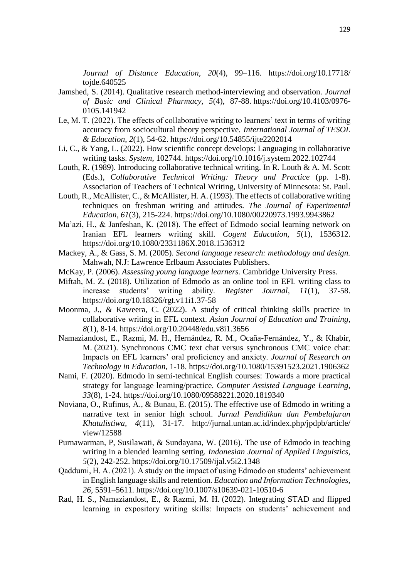*Journal of Distance Education, 20*(4), 99–116. https://doi.org/10.17718/ tojde.640525

- Jamshed, S. (2014). Qualitative research method-interviewing and observation. *Journal of Basic and Clinical Pharmacy, 5*(4), 87-88. [https://doi.org/10.4103/0976-](https://doi.org/10.4103/0976-0105.141942) [0105.141942](https://doi.org/10.4103/0976-0105.141942)
- Le, M. T. (2022). The effects of collaborative writing to learners' text in terms of writing accuracy from sociocultural theory perspective. *International Journal of TESOL & Education*, *2*(1), 54-62.<https://doi.org/10.54855/ijte2202014>
- Li, C., & Yang, L. (2022). How scientific concept develops: Languaging in collaborative writing tasks. *System*, 102744.<https://doi.org/10.1016/j.system.2022.102744>
- Louth, R. (1989). Introducing collaborative technical writing. In R. Louth & A. M. Scott (Eds.), *Collaborative Technical Writing: Theory and Practice* (pp. 1-8). Association of Teachers of Technical Writing, University of Minnesota: St. Paul.
- Louth, R., McAllister, C., & McAllister, H. A. (1993). The effects of collaborative writing techniques on freshman writing and attitudes. *The Journal of Experimental Education, 61*(3), 215-224.<https://doi.org/10.1080/00220973.1993.9943862>
- Ma'azi, H., & Janfeshan, K. (2018). The effect of Edmodo social learning network on Iranian EFL learners writing skill. *Cogent Education, 5*(1), 1536312. <https://doi.org/10.1080/2331186X.2018.1536312>
- Mackey, A., & Gass, S. M. (2005). *Second language research: methodology and design.*  Mahwah, N.J: Lawrence Erlbaum Associates Publishers.
- McKay, P. (2006). *Assessing young language learners.* Cambridge University Press.
- Miftah, M. Z. (2018). Utilization of Edmodo as an online tool in EFL writing class to increase students' writing ability. *Register Journal, 11*(1), 37-58. <https://doi.org/10.18326/rgt.v11i1.37-58>
- Moonma, J., & Kaweera, C. (2022). A study of critical thinking skills practice in collaborative writing in EFL context. *Asian Journal of Education and Training*, *8*(1), 8-14.<https://doi.org/10.20448/edu.v8i1.3656>
- Namaziandost, E., Razmi, M. H., Hernández, R. M., Ocaña-Fernández, Y., & Khabir, M. (2021). Synchronous CMC text chat versus synchronous CMC voice chat: Impacts on EFL learners' oral proficiency and anxiety. *Journal of Research on Technology in Education,* 1-18.<https://doi.org/10.1080/15391523.2021.1906362>
- Nami, F. (2020). Edmodo in semi-technical English courses: Towards a more practical strategy for language learning/practice. *Computer Assisted Language Learning, 33*(8), 1-24.<https://doi.org/10.1080/09588221.2020.1819340>
- Noviana, O., Rufinus, A., & Bunau, E. (2015). The effective use of Edmodo in writing a narrative text in senior high school. *Jurnal Pendidikan dan Pembelajaran Khatulistiwa, 4*(11), 31-17. http://jurnal.untan.ac.id/index.php/jpdpb/article/ view/12588
- Purnawarman, P, Susilawati, & Sundayana, W. (2016). The use of Edmodo in teaching writing in a blended learning setting. *Indonesian Journal of Applied Linguistics, 5*(2), 242-252.<https://doi.org/10.17509/ijal.v5i2.1348>
- Qaddumi, H. A. (2021). A study on the impact of using Edmodo on students' achievement in English language skills and retention. *Education and Information Technologies, 26*, 5591–5611.<https://doi.org/10.1007/s10639-021-10510-6>
- Rad, H. S., Namaziandost, E., & Razmi, M. H. (2022). Integrating STAD and flipped learning in expository writing skills: Impacts on students' achievement and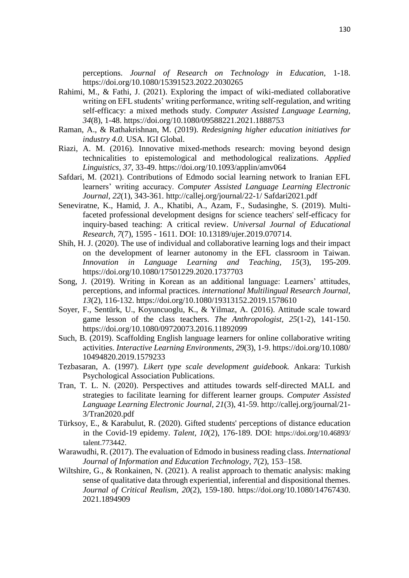perceptions. *Journal of Research on Technology in Education,* 1-18. <https://doi.org/10.1080/15391523.2022.2030265>

- Rahimi, M., & Fathi, J. (2021). Exploring the impact of wiki-mediated collaborative writing on EFL students' writing performance, writing self-regulation, and writing self-efficacy: a mixed methods study. *Computer Assisted Language Learning, 34*(8), 1-48.<https://doi.org/10.1080/09588221.2021.1888753>
- Raman, A., & Rathakrishnan, M. (2019). *Redesigning higher education initiatives for industry 4.0.* USA. IGI Global.
- Riazi, A. M. (2016). Innovative mixed-methods research: moving beyond design technicalities to epistemological and methodological realizations. *Applied Linguistics, 37,* 33-49. <https://doi.org/10.1093/applin/amv064>
- Safdari, M. (2021). Contributions of Edmodo social learning network to Iranian EFL learners' writing accuracy. *Computer Assisted Language Learning Electronic Journal, 22*(1), 343-361. http://callej.org/journal/22-1/ Safdari2021.pdf
- Seneviratne, K., Hamid, J. A., Khatibi, A., Azam, F., Sudasinghe, S. (2019). Multifaceted professional development designs for science teachers' self-efficacy for inquiry-based teaching: A critical review. *Universal Journal of Educational Research, 7*(7), 1595 - 1611. DOI: 10.13189/ujer.2019.070714.
- Shih, H. J. (2020). The use of individual and collaborative learning logs and their impact on the development of learner autonomy in the EFL classroom in Taiwan. *Innovation in Language Learning and Teaching, 15*(3), 195-209. <https://doi.org/10.1080/17501229.2020.1737703>
- Song, J. (2019). Writing in Korean as an additional language: Learners' attitudes, perceptions, and informal practices. *international Multilingual Research Journal, 13*(2), 116-132.<https://doi.org/10.1080/19313152.2019.1578610>
- Soyer, F., Sentürk, U., Koyuncuoglu, K., & Yilmaz, A. (2016). Attitude scale toward game lesson of the class teachers. *The Anthropologist, 25*(1-2), 141-150. <https://doi.org/10.1080/09720073.2016.11892099>
- Such, B. (2019). Scaffolding English language learners for online collaborative writing activities. *Interactive Learning Environments*, *29*(3), 1-9. https://doi.org/10.1080/ 10494820.2019.1579233
- Tezbasaran, A. (1997). *Likert type scale development guidebook.* Ankara: Turkish Psychological Association Publications.
- Tran, T. L. N. (2020). Perspectives and attitudes towards self-directed MALL and strategies to facilitate learning for different learner groups. *Computer Assisted Language Learning Electronic Journal, 21*(3), 41-59. [http://callej.org/journal/21-](http://callej.org/journal/21-3/Tran2020.pdf) [3/Tran2020.pdf](http://callej.org/journal/21-3/Tran2020.pdf)
- Türksoy, E., & Karabulut, R. (2020). Gifted students' perceptions of distance education in the Covid-19 epidemy. *Talent, 10*(2), 176-189. DOI: https://doi.org/10.46893/ talent.773442.
- Warawudhi, R. (2017). The evaluation of Edmodo in business reading class. *International Journal of Information and Education Technology, 7*(2), 153–158.
- Wiltshire, G., & Ronkainen, N. (2021). A realist approach to thematic analysis: making sense of qualitative data through experiential, inferential and dispositional themes. *Journal of Critical Realism, 20*(2), 159-180. https://doi.org/10.1080/14767430. 2021.1894909